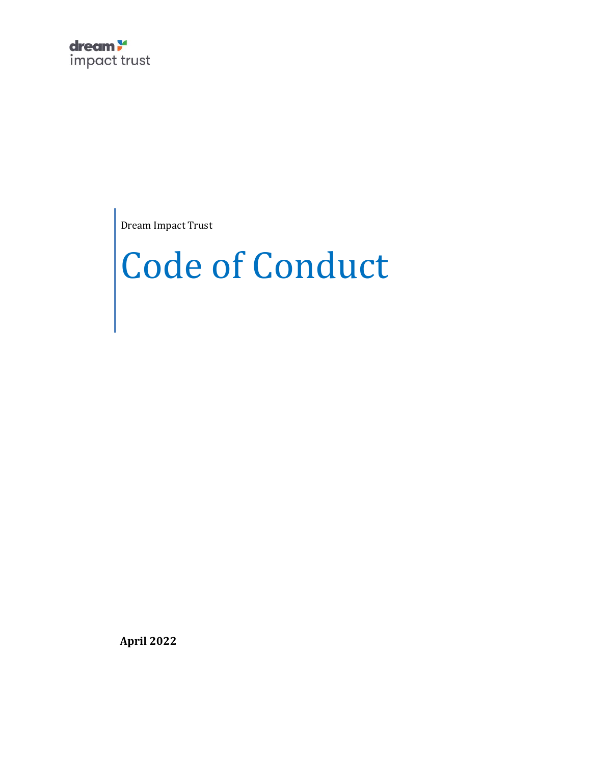Dream Impact Trust

# Code of Conduct

**April 2022**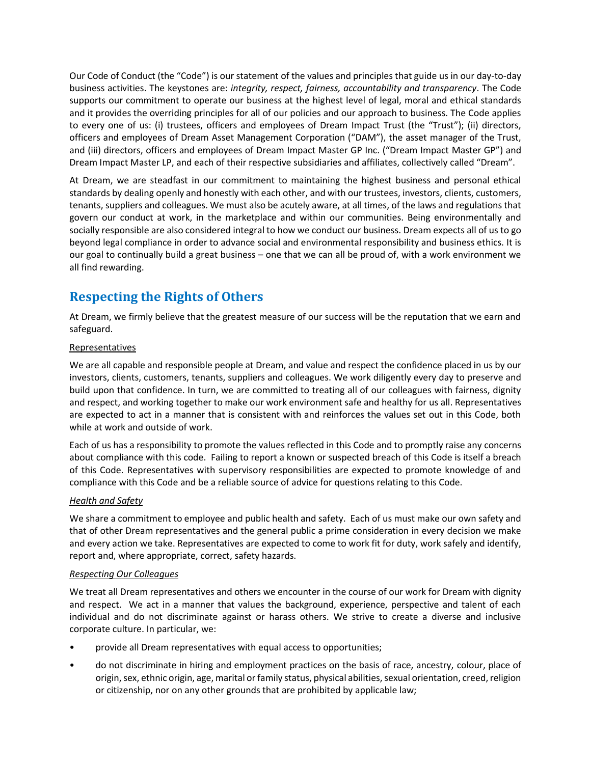Our Code of Conduct (the "Code") is our statement of the values and principles that guide us in our day-to-day business activities. The keystones are: *integrity, respect, fairness, accountability and transparency*. The Code supports our commitment to operate our business at the highest level of legal, moral and ethical standards and it provides the overriding principles for all of our policies and our approach to business. The Code applies to every one of us: (i) trustees, officers and employees of Dream Impact Trust (the "Trust"); (ii) directors, officers and employees of Dream Asset Management Corporation ("DAM"), the asset manager of the Trust, and (iii) directors, officers and employees of Dream Impact Master GP Inc. ("Dream Impact Master GP") and Dream Impact Master LP, and each of their respective subsidiaries and affiliates, collectively called "Dream".

At Dream, we are steadfast in our commitment to maintaining the highest business and personal ethical standards by dealing openly and honestly with each other, and with our trustees, investors, clients, customers, tenants, suppliers and colleagues. We must also be acutely aware, at all times, of the laws and regulations that govern our conduct at work, in the marketplace and within our communities. Being environmentally and socially responsible are also considered integral to how we conduct our business. Dream expects all of us to go beyond legal compliance in order to advance social and environmental responsibility and business ethics. It is our goal to continually build a great business – one that we can all be proud of, with a work environment we all find rewarding.

# **Respecting the Rights of Others**

At Dream, we firmly believe that the greatest measure of our success will be the reputation that we earn and safeguard.

### Representatives

We are all capable and responsible people at Dream, and value and respect the confidence placed in us by our investors, clients, customers, tenants, suppliers and colleagues. We work diligently every day to preserve and build upon that confidence. In turn, we are committed to treating all of our colleagues with fairness, dignity and respect, and working together to make our work environment safe and healthy for us all. Representatives are expected to act in a manner that is consistent with and reinforces the values set out in this Code, both while at work and outside of work.

Each of us has a responsibility to promote the values reflected in this Code and to promptly raise any concerns about compliance with this code. Failing to report a known or suspected breach of this Code is itself a breach of this Code. Representatives with supervisory responsibilities are expected to promote knowledge of and compliance with this Code and be a reliable source of advice for questions relating to this Code.

### *Health and Safety*

We share a commitment to employee and public health and safety. Each of us must make our own safety and that of other Dream representatives and the general public a prime consideration in every decision we make and every action we take. Representatives are expected to come to work fit for duty, work safely and identify, report and, where appropriate, correct, safety hazards.

### *Respecting Our Colleagues*

We treat all Dream representatives and others we encounter in the course of our work for Dream with dignity and respect. We act in a manner that values the background, experience, perspective and talent of each individual and do not discriminate against or harass others. We strive to create a diverse and inclusive corporate culture. In particular, we:

- provide all Dream representatives with equal access to opportunities;
- do not discriminate in hiring and employment practices on the basis of race, ancestry, colour, place of origin, sex, ethnic origin, age, marital or family status, physical abilities, sexual orientation, creed, religion or citizenship, nor on any other grounds that are prohibited by applicable law;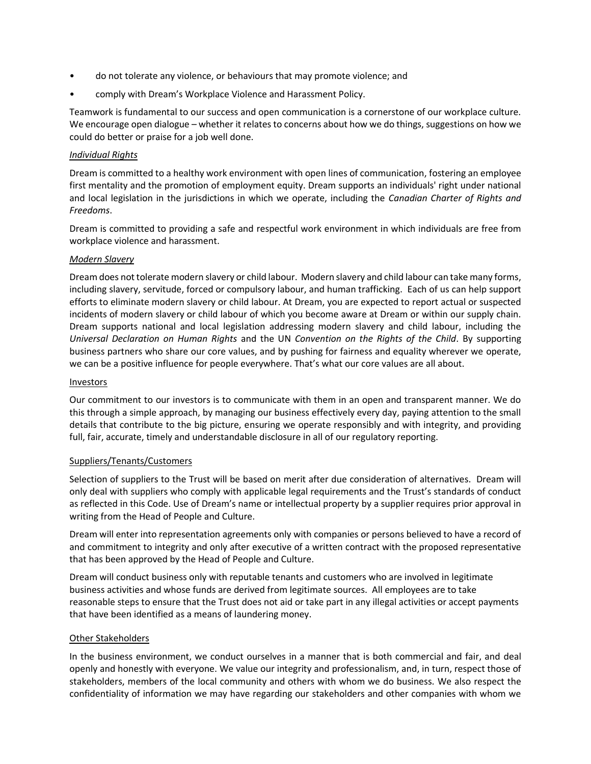- do not tolerate any violence, or behaviours that may promote violence; and
- comply with Dream's Workplace Violence and Harassment Policy.

Teamwork is fundamental to our success and open communication is a cornerstone of our workplace culture. We encourage open dialogue – whether it relates to concerns about how we do things, suggestions on how we could do better or praise for a job well done.

### *Individual Rights*

Dream is committed to a healthy work environment with open lines of communication, fostering an employee first mentality and the promotion of employment equity. Dream supports an individuals' right under national and local legislation in the jurisdictions in which we operate, including the *Canadian Charter of Rights and Freedoms*.

Dream is committed to providing a safe and respectful work environment in which individuals are free from workplace violence and harassment.

### *Modern Slavery*

Dream does not tolerate modern slavery or child labour. Modern slavery and child labour can take many forms, including slavery, servitude, forced or compulsory labour, and human trafficking. Each of us can help support efforts to eliminate modern slavery or child labour. At Dream, you are expected to report actual or suspected incidents of modern slavery or child labour of which you become aware at Dream or within our supply chain. Dream supports national and local legislation addressing modern slavery and child labour, including the *Universal Declaration on Human Rights* and the UN *Convention on the Rights of the Child*. By supporting business partners who share our core values, and by pushing for fairness and equality wherever we operate, we can be a positive influence for people everywhere. That's what our core values are all about.

### Investors

Our commitment to our investors is to communicate with them in an open and transparent manner. We do this through a simple approach, by managing our business effectively every day, paying attention to the small details that contribute to the big picture, ensuring we operate responsibly and with integrity, and providing full, fair, accurate, timely and understandable disclosure in all of our regulatory reporting.

### Suppliers/Tenants/Customers

Selection of suppliers to the Trust will be based on merit after due consideration of alternatives. Dream will only deal with suppliers who comply with applicable legal requirements and the Trust's standards of conduct as reflected in this Code. Use of Dream's name or intellectual property by a supplier requires prior approval in writing from the Head of People and Culture.

Dream will enter into representation agreements only with companies or persons believed to have a record of and commitment to integrity and only after executive of a written contract with the proposed representative that has been approved by the Head of People and Culture.

Dream will conduct business only with reputable tenants and customers who are involved in legitimate business activities and whose funds are derived from legitimate sources. All employees are to take reasonable steps to ensure that the Trust does not aid or take part in any illegal activities or accept payments that have been identified as a means of laundering money.

### Other Stakeholders

In the business environment, we conduct ourselves in a manner that is both commercial and fair, and deal openly and honestly with everyone. We value our integrity and professionalism, and, in turn, respect those of stakeholders, members of the local community and others with whom we do business. We also respect the confidentiality of information we may have regarding our stakeholders and other companies with whom we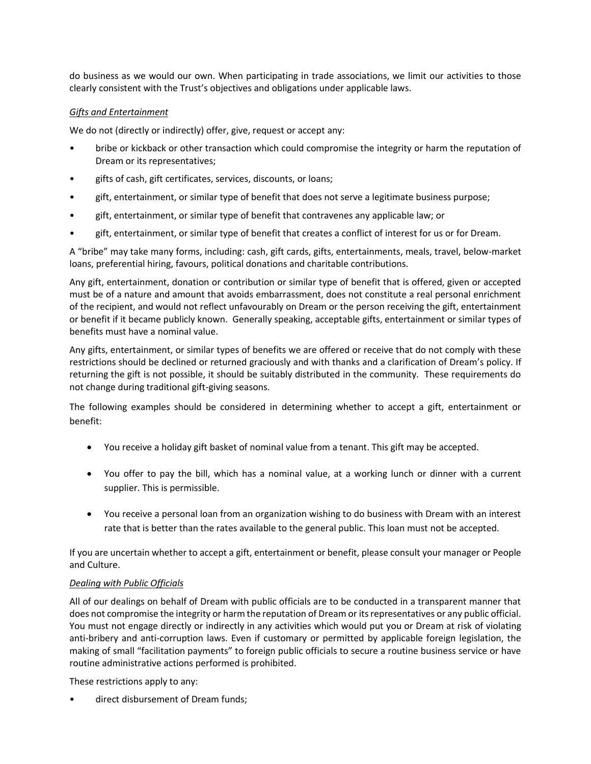do business as we would our own. When participating in trade associations, we limit our activities to those clearly consistent with the Trust's objectives and obligations under applicable laws.

### *Gifts and Entertainment*

We do not (directly or indirectly) offer, give, request or accept any:

- bribe or kickback or other transaction which could compromise the integrity or harm the reputation of Dream or its representatives;
- gifts of cash, gift certificates, services, discounts, or loans;
- gift, entertainment, or similar type of benefit that does not serve a legitimate business purpose;
- gift, entertainment, or similar type of benefit that contravenes any applicable law; or
- gift, entertainment, or similar type of benefit that creates a conflict of interest for us or for Dream.

A "bribe" may take many forms, including: cash, gift cards, gifts, entertainments, meals, travel, below-market loans, preferential hiring, favours, political donations and charitable contributions.

Any gift, entertainment, donation or contribution or similar type of benefit that is offered, given or accepted must be of a nature and amount that avoids embarrassment, does not constitute a real personal enrichment of the recipient, and would not reflect unfavourably on Dream or the person receiving the gift, entertainment or benefit if it became publicly known. Generally speaking, acceptable gifts, entertainment or similar types of benefits must have a nominal value.

Any gifts, entertainment, or similar types of benefits we are offered or receive that do not comply with these restrictions should be declined or returned graciously and with thanks and a clarification of Dream's policy. If returning the gift is not possible, it should be suitably distributed in the community. These requirements do not change during traditional gift-giving seasons.

The following examples should be considered in determining whether to accept a gift, entertainment or benefit:

- You receive a holiday gift basket of nominal value from a tenant. This gift may be accepted.
- You offer to pay the bill, which has a nominal value, at a working lunch or dinner with a current supplier. This is permissible.
- You receive a personal loan from an organization wishing to do business with Dream with an interest rate that is better than the rates available to the general public. This loan must not be accepted.

If you are uncertain whether to accept a gift, entertainment or benefit, please consult your manager or People and Culture.

### *Dealing with Public Officials*

All of our dealings on behalf of Dream with public officials are to be conducted in a transparent manner that does not compromise the integrity or harm the reputation of Dream or its representatives or any public official. You must not engage directly or indirectly in any activities which would put you or Dream at risk of violating anti-bribery and anti-corruption laws. Even if customary or permitted by applicable foreign legislation, the making of small "facilitation payments" to foreign public officials to secure a routine business service or have routine administrative actions performed is prohibited.

These restrictions apply to any:

direct disbursement of Dream funds;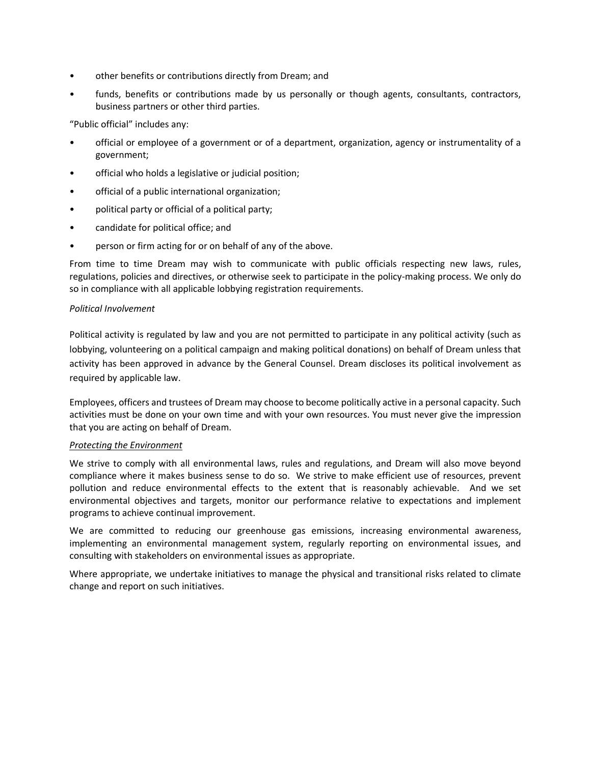- other benefits or contributions directly from Dream; and
- funds, benefits or contributions made by us personally or though agents, consultants, contractors, business partners or other third parties.

"Public official" includes any:

- official or employee of a government or of a department, organization, agency or instrumentality of a government;
- official who holds a legislative or judicial position;
- official of a public international organization;
- political party or official of a political party;
- candidate for political office; and
- person or firm acting for or on behalf of any of the above.

From time to time Dream may wish to communicate with public officials respecting new laws, rules, regulations, policies and directives, or otherwise seek to participate in the policy-making process. We only do so in compliance with all applicable lobbying registration requirements.

### *Political Involvement*

Political activity is regulated by law and you are not permitted to participate in any political activity (such as lobbying, volunteering on a political campaign and making political donations) on behalf of Dream unless that activity has been approved in advance by the General Counsel. Dream discloses its political involvement as required by applicable law.

Employees, officers and trustees of Dream may choose to become politically active in a personal capacity. Such activities must be done on your own time and with your own resources. You must never give the impression that you are acting on behalf of Dream.

### *Protecting the Environment*

We strive to comply with all environmental laws, rules and regulations, and Dream will also move beyond compliance where it makes business sense to do so. We strive to make efficient use of resources, prevent pollution and reduce environmental effects to the extent that is reasonably achievable. And we set environmental objectives and targets, monitor our performance relative to expectations and implement programs to achieve continual improvement.

We are committed to reducing our greenhouse gas emissions, increasing environmental awareness, implementing an environmental management system, regularly reporting on environmental issues, and consulting with stakeholders on environmental issues as appropriate.

Where appropriate, we undertake initiatives to manage the physical and transitional risks related to climate change and report on such initiatives.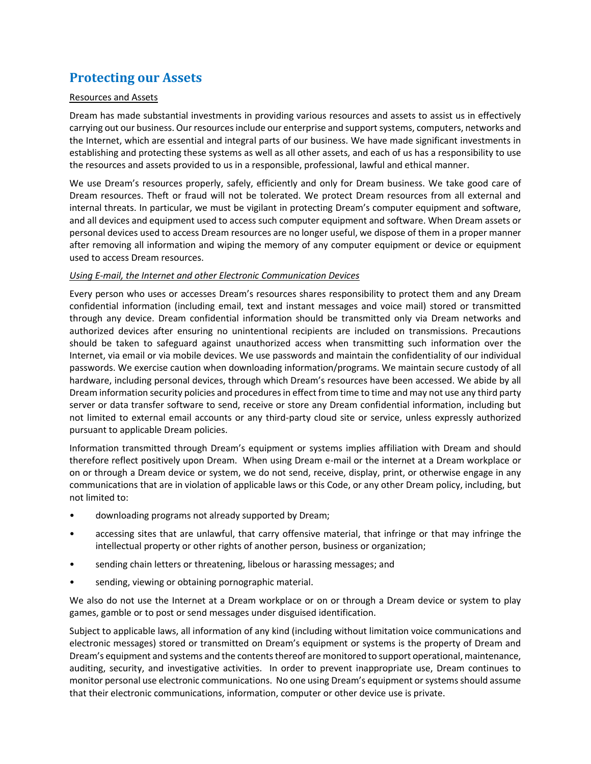# **Protecting our Assets**

### Resources and Assets

Dream has made substantial investments in providing various resources and assets to assist us in effectively carrying out our business. Our resources include our enterprise and support systems, computers, networks and the Internet, which are essential and integral parts of our business. We have made significant investments in establishing and protecting these systems as well as all other assets, and each of us has a responsibility to use the resources and assets provided to us in a responsible, professional, lawful and ethical manner.

We use Dream's resources properly, safely, efficiently and only for Dream business. We take good care of Dream resources. Theft or fraud will not be tolerated. We protect Dream resources from all external and internal threats. In particular, we must be vigilant in protecting Dream's computer equipment and software, and all devices and equipment used to access such computer equipment and software. When Dream assets or personal devices used to access Dream resources are no longer useful, we dispose of them in a proper manner after removing all information and wiping the memory of any computer equipment or device or equipment used to access Dream resources.

### *Using E-mail, the Internet and other Electronic Communication Devices*

Every person who uses or accesses Dream's resources shares responsibility to protect them and any Dream confidential information (including email, text and instant messages and voice mail) stored or transmitted through any device. Dream confidential information should be transmitted only via Dream networks and authorized devices after ensuring no unintentional recipients are included on transmissions. Precautions should be taken to safeguard against unauthorized access when transmitting such information over the Internet, via email or via mobile devices. We use passwords and maintain the confidentiality of our individual passwords. We exercise caution when downloading information/programs. We maintain secure custody of all hardware, including personal devices, through which Dream's resources have been accessed. We abide by all Dream information security policies and procedures in effect from time to time and may not use any third party server or data transfer software to send, receive or store any Dream confidential information, including but not limited to external email accounts or any third-party cloud site or service, unless expressly authorized pursuant to applicable Dream policies.

Information transmitted through Dream's equipment or systems implies affiliation with Dream and should therefore reflect positively upon Dream. When using Dream e-mail or the internet at a Dream workplace or on or through a Dream device or system, we do not send, receive, display, print, or otherwise engage in any communications that are in violation of applicable laws or this Code, or any other Dream policy, including, but not limited to:

- downloading programs not already supported by Dream;
- accessing sites that are unlawful, that carry offensive material, that infringe or that may infringe the intellectual property or other rights of another person, business or organization;
- sending chain letters or threatening, libelous or harassing messages; and
- sending, viewing or obtaining pornographic material.

We also do not use the Internet at a Dream workplace or on or through a Dream device or system to play games, gamble or to post or send messages under disguised identification.

Subject to applicable laws, all information of any kind (including without limitation voice communications and electronic messages) stored or transmitted on Dream's equipment or systems is the property of Dream and Dream's equipment and systems and the contents thereof are monitored to support operational, maintenance, auditing, security, and investigative activities. In order to prevent inappropriate use, Dream continues to monitor personal use electronic communications. No one using Dream's equipment or systems should assume that their electronic communications, information, computer or other device use is private.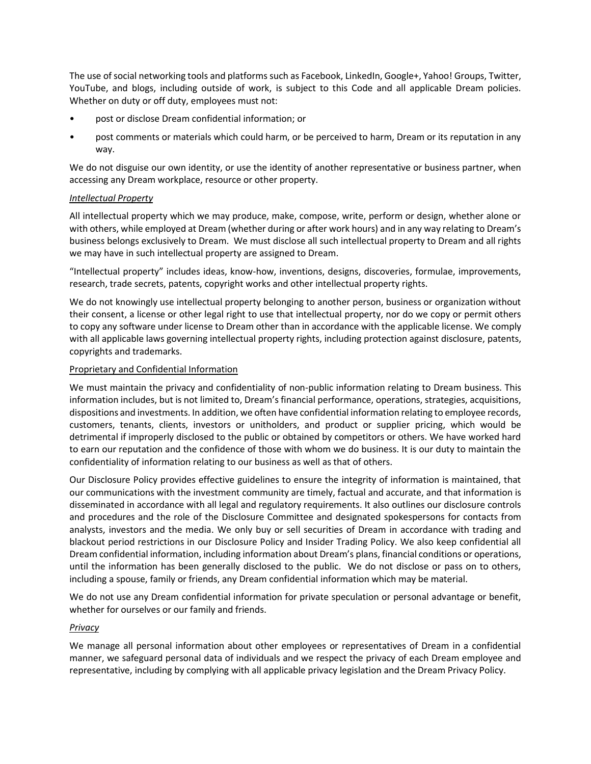The use of social networking tools and platforms such as Facebook, LinkedIn, Google+, Yahoo! Groups, Twitter, YouTube, and blogs, including outside of work, is subject to this Code and all applicable Dream policies. Whether on duty or off duty, employees must not:

- post or disclose Dream confidential information; or
- post comments or materials which could harm, or be perceived to harm, Dream or its reputation in any way.

We do not disguise our own identity, or use the identity of another representative or business partner, when accessing any Dream workplace, resource or other property.

### *Intellectual Property*

All intellectual property which we may produce, make, compose, write, perform or design, whether alone or with others, while employed at Dream (whether during or after work hours) and in any way relating to Dream's business belongs exclusively to Dream. We must disclose all such intellectual property to Dream and all rights we may have in such intellectual property are assigned to Dream.

"Intellectual property" includes ideas, know-how, inventions, designs, discoveries, formulae, improvements, research, trade secrets, patents, copyright works and other intellectual property rights.

We do not knowingly use intellectual property belonging to another person, business or organization without their consent, a license or other legal right to use that intellectual property, nor do we copy or permit others to copy any software under license to Dream other than in accordance with the applicable license. We comply with all applicable laws governing intellectual property rights, including protection against disclosure, patents, copyrights and trademarks.

### Proprietary and Confidential Information

We must maintain the privacy and confidentiality of non-public information relating to Dream business. This information includes, but is not limited to, Dream's financial performance, operations, strategies, acquisitions, dispositions and investments. In addition, we often have confidential information relating to employee records, customers, tenants, clients, investors or unitholders, and product or supplier pricing, which would be detrimental if improperly disclosed to the public or obtained by competitors or others. We have worked hard to earn our reputation and the confidence of those with whom we do business. It is our duty to maintain the confidentiality of information relating to our business as well as that of others.

Our Disclosure Policy provides effective guidelines to ensure the integrity of information is maintained, that our communications with the investment community are timely, factual and accurate, and that information is disseminated in accordance with all legal and regulatory requirements. It also outlines our disclosure controls and procedures and the role of the Disclosure Committee and designated spokespersons for contacts from analysts, investors and the media. We only buy or sell securities of Dream in accordance with trading and blackout period restrictions in our Disclosure Policy and Insider Trading Policy. We also keep confidential all Dream confidential information, including information about Dream's plans, financial conditions or operations, until the information has been generally disclosed to the public. We do not disclose or pass on to others, including a spouse, family or friends, any Dream confidential information which may be material.

We do not use any Dream confidential information for private speculation or personal advantage or benefit, whether for ourselves or our family and friends.

### *Privacy*

We manage all personal information about other employees or representatives of Dream in a confidential manner, we safeguard personal data of individuals and we respect the privacy of each Dream employee and representative, including by complying with all applicable privacy legislation and the Dream Privacy Policy.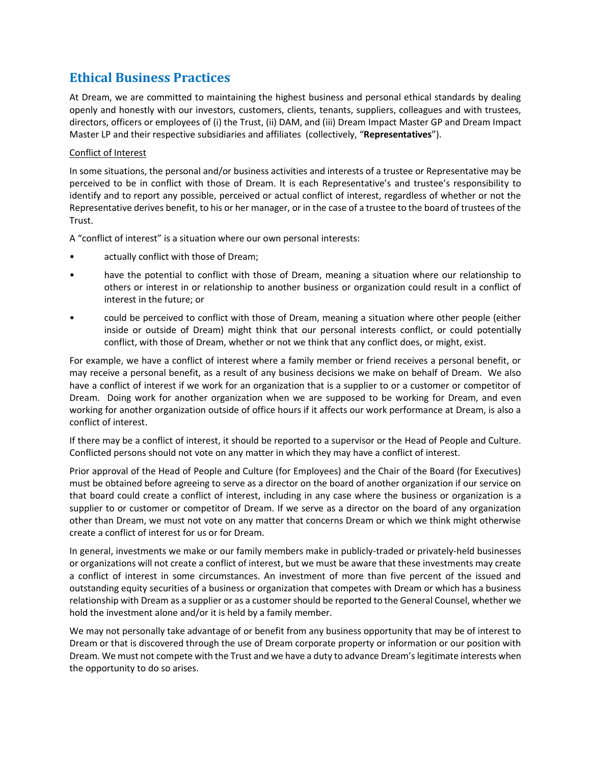# **Ethical Business Practices**

At Dream, we are committed to maintaining the highest business and personal ethical standards by dealing openly and honestly with our investors, customers, clients, tenants, suppliers, colleagues and with trustees, directors, officers or employees of (i) the Trust, (ii) DAM, and (iii) Dream Impact Master GP and Dream Impact Master LP and their respective subsidiaries and affiliates (collectively, "**Representatives**").

### Conflict of Interest

In some situations, the personal and/or business activities and interests of a trustee or Representative may be perceived to be in conflict with those of Dream. It is each Representative's and trustee's responsibility to identify and to report any possible, perceived or actual conflict of interest, regardless of whether or not the Representative derives benefit, to his or her manager, or in the case of a trustee to the board of trustees of the Trust.

A "conflict of interest" is a situation where our own personal interests:

- actually conflict with those of Dream;
- have the potential to conflict with those of Dream, meaning a situation where our relationship to others or interest in or relationship to another business or organization could result in a conflict of interest in the future; or
- could be perceived to conflict with those of Dream, meaning a situation where other people (either inside or outside of Dream) might think that our personal interests conflict, or could potentially conflict, with those of Dream, whether or not we think that any conflict does, or might, exist.

For example, we have a conflict of interest where a family member or friend receives a personal benefit, or may receive a personal benefit, as a result of any business decisions we make on behalf of Dream. We also have a conflict of interest if we work for an organization that is a supplier to or a customer or competitor of Dream. Doing work for another organization when we are supposed to be working for Dream, and even working for another organization outside of office hours if it affects our work performance at Dream, is also a conflict of interest.

If there may be a conflict of interest, it should be reported to a supervisor or the Head of People and Culture. Conflicted persons should not vote on any matter in which they may have a conflict of interest.

Prior approval of the Head of People and Culture (for Employees) and the Chair of the Board (for Executives) must be obtained before agreeing to serve as a director on the board of another organization if our service on that board could create a conflict of interest, including in any case where the business or organization is a supplier to or customer or competitor of Dream. If we serve as a director on the board of any organization other than Dream, we must not vote on any matter that concerns Dream or which we think might otherwise create a conflict of interest for us or for Dream.

In general, investments we make or our family members make in publicly-traded or privately-held businesses or organizations will not create a conflict of interest, but we must be aware that these investments may create a conflict of interest in some circumstances. An investment of more than five percent of the issued and outstanding equity securities of a business or organization that competes with Dream or which has a business relationship with Dream as a supplier or as a customer should be reported to the General Counsel, whether we hold the investment alone and/or it is held by a family member.

We may not personally take advantage of or benefit from any business opportunity that may be of interest to Dream or that is discovered through the use of Dream corporate property or information or our position with Dream. We must not compete with the Trust and we have a duty to advance Dream's legitimate interests when the opportunity to do so arises.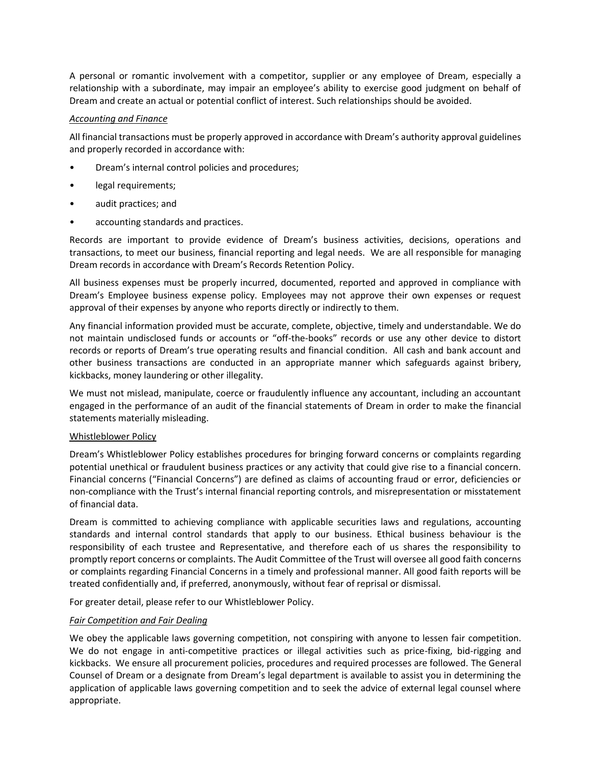A personal or romantic involvement with a competitor, supplier or any employee of Dream, especially a relationship with a subordinate, may impair an employee's ability to exercise good judgment on behalf of Dream and create an actual or potential conflict of interest. Such relationships should be avoided.

### *Accounting and Finance*

All financial transactions must be properly approved in accordance with Dream's authority approval guidelines and properly recorded in accordance with:

- Dream's internal control policies and procedures;
- legal requirements;
- audit practices; and
- accounting standards and practices.

Records are important to provide evidence of Dream's business activities, decisions, operations and transactions, to meet our business, financial reporting and legal needs. We are all responsible for managing Dream records in accordance with Dream's Records Retention Policy.

All business expenses must be properly incurred, documented, reported and approved in compliance with Dream's Employee business expense policy. Employees may not approve their own expenses or request approval of their expenses by anyone who reports directly or indirectly to them.

Any financial information provided must be accurate, complete, objective, timely and understandable. We do not maintain undisclosed funds or accounts or "off-the-books" records or use any other device to distort records or reports of Dream's true operating results and financial condition. All cash and bank account and other business transactions are conducted in an appropriate manner which safeguards against bribery, kickbacks, money laundering or other illegality.

We must not mislead, manipulate, coerce or fraudulently influence any accountant, including an accountant engaged in the performance of an audit of the financial statements of Dream in order to make the financial statements materially misleading.

### Whistleblower Policy

Dream's Whistleblower Policy establishes procedures for bringing forward concerns or complaints regarding potential unethical or fraudulent business practices or any activity that could give rise to a financial concern. Financial concerns ("Financial Concerns") are defined as claims of accounting fraud or error, deficiencies or non-compliance with the Trust's internal financial reporting controls, and misrepresentation or misstatement of financial data.

Dream is committed to achieving compliance with applicable securities laws and regulations, accounting standards and internal control standards that apply to our business. Ethical business behaviour is the responsibility of each trustee and Representative, and therefore each of us shares the responsibility to promptly report concerns or complaints. The Audit Committee of the Trust will oversee all good faith concerns or complaints regarding Financial Concerns in a timely and professional manner. All good faith reports will be treated confidentially and, if preferred, anonymously, without fear of reprisal or dismissal.

For greater detail, please refer to our Whistleblower Policy.

### *Fair Competition and Fair Dealing*

We obey the applicable laws governing competition, not conspiring with anyone to lessen fair competition. We do not engage in anti-competitive practices or illegal activities such as price-fixing, bid-rigging and kickbacks. We ensure all procurement policies, procedures and required processes are followed. The General Counsel of Dream or a designate from Dream's legal department is available to assist you in determining the application of applicable laws governing competition and to seek the advice of external legal counsel where appropriate.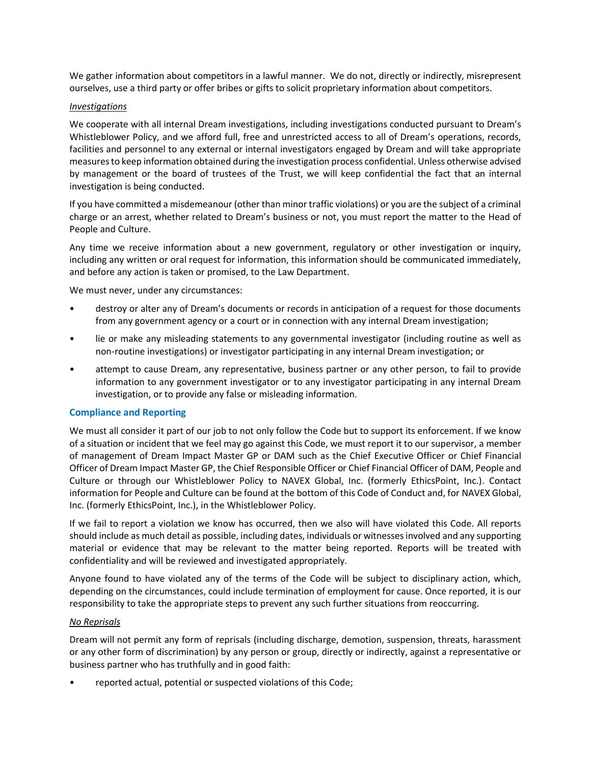We gather information about competitors in a lawful manner. We do not, directly or indirectly, misrepresent ourselves, use a third party or offer bribes or gifts to solicit proprietary information about competitors.

### *Investigations*

We cooperate with all internal Dream investigations, including investigations conducted pursuant to Dream's Whistleblower Policy, and we afford full, free and unrestricted access to all of Dream's operations, records, facilities and personnel to any external or internal investigators engaged by Dream and will take appropriate measures to keep information obtained during the investigation process confidential. Unless otherwise advised by management or the board of trustees of the Trust, we will keep confidential the fact that an internal investigation is being conducted.

If you have committed a misdemeanour (other than minor traffic violations) or you are the subject of a criminal charge or an arrest, whether related to Dream's business or not, you must report the matter to the Head of People and Culture.

Any time we receive information about a new government, regulatory or other investigation or inquiry, including any written or oral request for information, this information should be communicated immediately, and before any action is taken or promised, to the Law Department.

We must never, under any circumstances:

- destroy or alter any of Dream's documents or records in anticipation of a request for those documents from any government agency or a court or in connection with any internal Dream investigation;
- lie or make any misleading statements to any governmental investigator (including routine as well as non-routine investigations) or investigator participating in any internal Dream investigation; or
- attempt to cause Dream, any representative, business partner or any other person, to fail to provide information to any government investigator or to any investigator participating in any internal Dream investigation, or to provide any false or misleading information.

### **Compliance and Reporting**

We must all consider it part of our job to not only follow the Code but to support its enforcement. If we know of a situation or incident that we feel may go against this Code, we must report it to our supervisor, a member of management of Dream Impact Master GP or DAM such as the Chief Executive Officer or Chief Financial Officer of Dream Impact Master GP, the Chief Responsible Officer or Chief Financial Officer of DAM, People and Culture or through our Whistleblower Policy to NAVEX Global, Inc. (formerly EthicsPoint, Inc.). Contact information for People and Culture can be found at the bottom of this Code of Conduct and, for NAVEX Global, Inc. (formerly EthicsPoint, Inc.), in the Whistleblower Policy.

If we fail to report a violation we know has occurred, then we also will have violated this Code. All reports should include as much detail as possible, including dates, individuals or witnesses involved and any supporting material or evidence that may be relevant to the matter being reported. Reports will be treated with confidentiality and will be reviewed and investigated appropriately.

Anyone found to have violated any of the terms of the Code will be subject to disciplinary action, which, depending on the circumstances, could include termination of employment for cause. Once reported, it is our responsibility to take the appropriate steps to prevent any such further situations from reoccurring.

### *No Reprisals*

Dream will not permit any form of reprisals (including discharge, demotion, suspension, threats, harassment or any other form of discrimination) by any person or group, directly or indirectly, against a representative or business partner who has truthfully and in good faith:

• reported actual, potential or suspected violations of this Code;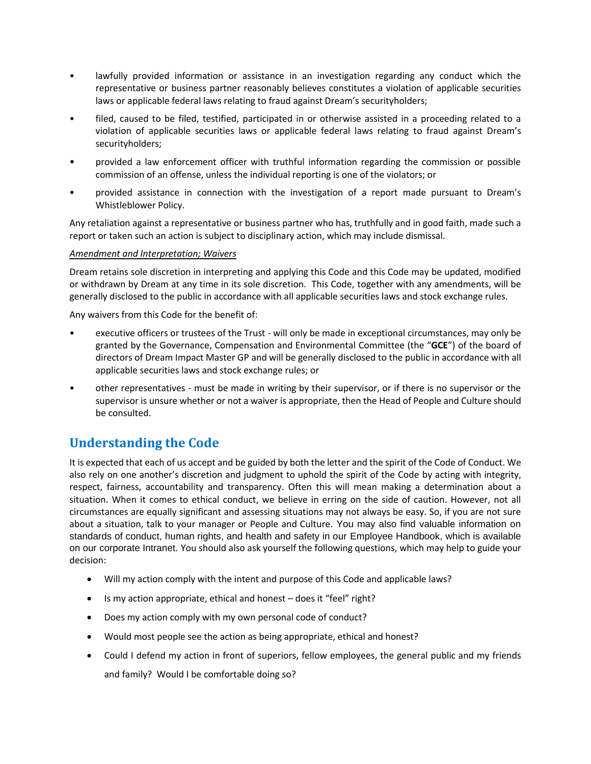- lawfully provided information or assistance in an investigation regarding any conduct which the representative or business partner reasonably believes constitutes a violation of applicable securities laws or applicable federal laws relating to fraud against Dream's securityholders;
- filed, caused to be filed, testified, participated in or otherwise assisted in a proceeding related to a violation of applicable securities laws or applicable federal laws relating to fraud against Dream's securityholders;
- provided a law enforcement officer with truthful information regarding the commission or possible commission of an offense, unless the individual reporting is one of the violators; or
- provided assistance in connection with the investigation of a report made pursuant to Dream's Whistleblower Policy.

Any retaliation against a representative or business partner who has, truthfully and in good faith, made such a report or taken such an action is subject to disciplinary action, which may include dismissal.

### *Amendment and Interpretation; Waivers*

Dream retains sole discretion in interpreting and applying this Code and this Code may be updated, modified or withdrawn by Dream at any time in its sole discretion. This Code, together with any amendments, will be generally disclosed to the public in accordance with all applicable securities laws and stock exchange rules.

Any waivers from this Code for the benefit of:

- executive officers or trustees of the Trust will only be made in exceptional circumstances, may only be granted by the Governance, Compensation and Environmental Committee (the "**GCE**") of the board of directors of Dream Impact Master GP and will be generally disclosed to the public in accordance with all applicable securities laws and stock exchange rules; or
- other representatives must be made in writing by their supervisor, or if there is no supervisor or the supervisor is unsure whether or not a waiver is appropriate, then the Head of People and Culture should be consulted.

## **Understanding the Code**

It is expected that each of us accept and be guided by both the letter and the spirit of the Code of Conduct. We also rely on one another's discretion and judgment to uphold the spirit of the Code by acting with integrity, respect, fairness, accountability and transparency. Often this will mean making a determination about a situation. When it comes to ethical conduct, we believe in erring on the side of caution. However, not all circumstances are equally significant and assessing situations may not always be easy. So, if you are not sure about a situation, talk to your manager or People and Culture. You may also find valuable information on standards of conduct, human rights, and health and safety in our Employee Handbook, which is available on our corporate Intranet. You should also ask yourself the following questions, which may help to guide your decision:

- Will my action comply with the intent and purpose of this Code and applicable laws?
- Is my action appropriate, ethical and honest does it "feel" right?
- Does my action comply with my own personal code of conduct?
- Would most people see the action as being appropriate, ethical and honest?
- Could I defend my action in front of superiors, fellow employees, the general public and my friends and family? Would I be comfortable doing so?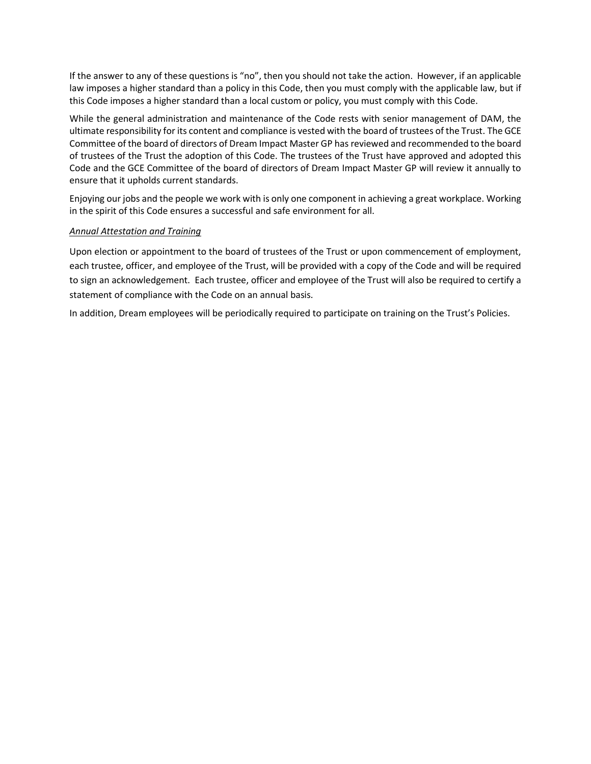If the answer to any of these questions is "no", then you should not take the action. However, if an applicable law imposes a higher standard than a policy in this Code, then you must comply with the applicable law, but if this Code imposes a higher standard than a local custom or policy, you must comply with this Code.

While the general administration and maintenance of the Code rests with senior management of DAM, the ultimate responsibility for its content and compliance is vested with the board of trustees of the Trust. The GCE Committee of the board of directors of Dream Impact Master GP has reviewed and recommended to the board of trustees of the Trust the adoption of this Code. The trustees of the Trust have approved and adopted this Code and the GCE Committee of the board of directors of Dream Impact Master GP will review it annually to ensure that it upholds current standards.

Enjoying our jobs and the people we work with is only one component in achieving a great workplace. Working in the spirit of this Code ensures a successful and safe environment for all.

### *Annual Attestation and Training*

Upon election or appointment to the board of trustees of the Trust or upon commencement of employment, each trustee, officer, and employee of the Trust, will be provided with a copy of the Code and will be required to sign an acknowledgement. Each trustee, officer and employee of the Trust will also be required to certify a statement of compliance with the Code on an annual basis.

In addition, Dream employees will be periodically required to participate on training on the Trust's Policies.